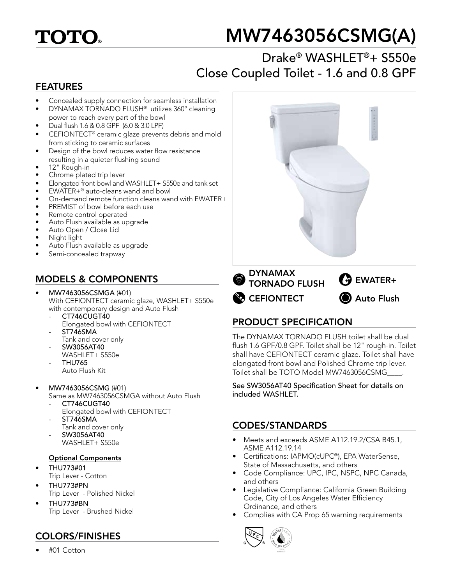

# MW7463056CSMG(A)

## Drake® WASHLET®+ S550e Close Coupled Toilet - 1.6 and 0.8 GPF

#### FEATURES

- Concealed supply connection for seamless installation
- DYNAMAX TORNADO FLUSH® utilizes 360º cleaning power to reach every part of the bowl
- Dual flush 1.6 & 0.8 GPF (6.0 & 3.0 LPF)
- CEFIONTECT® ceramic glaze prevents debris and mold from sticking to ceramic surfaces
- Design of the bowl reduces water flow resistance resulting in a quieter flushing sound
- 12" Rough-in
- Chrome plated trip lever
- Elongated front bowl and WASHLET+ S550e and tank set
- EWATER+<sup>®</sup> auto-cleans wand and bowl
- On-demand remote function cleans wand with EWATER+
- PREMIST of bowl before each use
- Remote control operated
- Auto Flush available as upgrade
- Auto Open / Close Lid
- Night light
- Auto Flush available as upgrade
- Semi-concealed trapway

## MODELS & COMPONENTS

- MW7463056CSMGA (#01) With CEFIONTECT ceramic glaze, WASHLET+ S550e with contemporary design and Auto Flush
	- CT746CUGT40 Elongated bowl with CEFIONTECT
	- ST746SMA Tank and cover only
	- SW3056AT40
	- WASHLET+ S550e
	- THU765
	- Auto Flush Kit
- MW7463056CSMG (#01)
	- Same as MW7463056CSMGA without Auto Flush
	- CT746CUGT40
		- Elongated bowl with CEFIONTECT
	- ST746SMA
	- Tank and cover only - SW3056AT40
	- WASHLET+ S550e

#### Optional Components

- THU773#01
- Trip Lever Cotton
- THU773#PN Trip Lever - Polished Nickel
- THU773#BN Trip Lever - Brushed Nickel

### COLORS/FINISHES

• #01 Cotton



### PRODUCT SPECIFICATION

The DYNAMAX TORNADO FLUSH toilet shall be dual flush 1.6 GPF/0.8 GPF. Toilet shall be 12" rough-in. Toilet shall have CEFIONTECT ceramic glaze. Toilet shall have elongated front bowl and Polished Chrome trip lever. Toilet shall be TOTO Model MW7463056CSMG\_\_\_\_.

See SW3056AT40 Specification Sheet for details on included WASHLET.

### CODES/STANDARDS

- Meets and exceeds ASME A112.19.2/CSA B45.1, ASME A112.19.14
- Certifications: IAPMO(cUPC®), EPA WaterSense, State of Massachusetts, and others
- Code Compliance: UPC, IPC, NSPC, NPC Canada, and others
- Legislative Compliance: California Green Building Code, City of Los Angeles Water Efficiency Ordinance, and others
- Complies with CA Prop 65 warning requirements